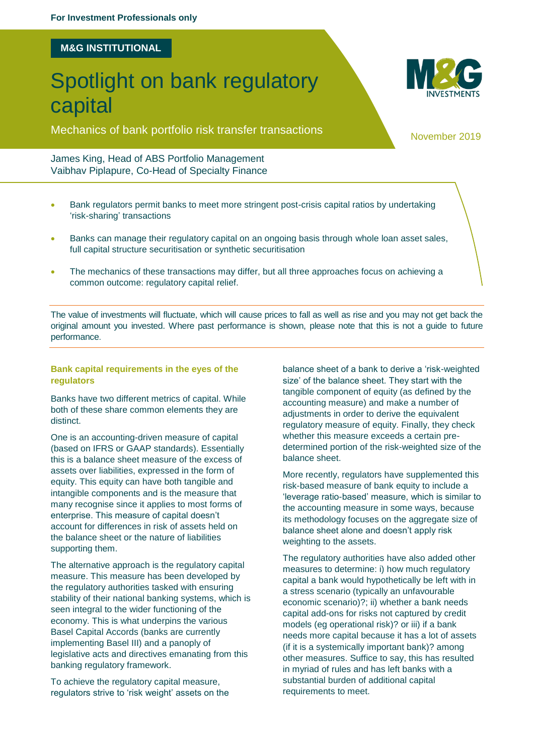## **M&G INSTITUTIONAL**

# Spotlight on bank regulatory capital

Mechanics of bank portfolio risk transfer transactions November 2019

## James King, Head of ABS Portfolio Management Vaibhav Piplapure, Co-Head of Specialty Finance

- Bank regulators permit banks to meet more stringent post-crisis capital ratios by undertaking 'risk-sharing' transactions
- Banks can manage their regulatory capital on an ongoing basis through whole loan asset sales, full capital structure securitisation or synthetic securitisation
- The mechanics of these transactions may differ, but all three approaches focus on achieving a common outcome: regulatory capital relief.

The value of investments will fluctuate, which will cause prices to fall as well as rise and you may not get back the original amount you invested. Where past performance is shown, please note that this is not a guide to future performance.

### **Bank capital requirements in the eyes of the regulators**

Banks have two different metrics of capital. While both of these share common elements they are distinct.

One is an accounting-driven measure of capital (based on IFRS or GAAP standards). Essentially this is a balance sheet measure of the excess of assets over liabilities, expressed in the form of equity. This equity can have both tangible and intangible components and is the measure that many recognise since it applies to most forms of enterprise. This measure of capital doesn't account for differences in risk of assets held on the balance sheet or the nature of liabilities supporting them.

The alternative approach is the regulatory capital measure. This measure has been developed by the regulatory authorities tasked with ensuring stability of their national banking systems, which is seen integral to the wider functioning of the economy. This is what underpins the various Basel Capital Accords (banks are currently implementing Basel III) and a panoply of legislative acts and directives emanating from this banking regulatory framework.

To achieve the regulatory capital measure, regulators strive to 'risk weight' assets on the balance sheet of a bank to derive a 'risk-weighted size' of the balance sheet. They start with the tangible component of equity (as defined by the accounting measure) and make a number of adjustments in order to derive the equivalent regulatory measure of equity. Finally, they check whether this measure exceeds a certain predetermined portion of the risk-weighted size of the balance sheet.

More recently, regulators have supplemented this risk-based measure of bank equity to include a 'leverage ratio-based' measure, which is similar to the accounting measure in some ways, because its methodology focuses on the aggregate size of balance sheet alone and doesn't apply risk weighting to the assets.

The regulatory authorities have also added other measures to determine: i) how much regulatory capital a bank would hypothetically be left with in a stress scenario (typically an unfavourable economic scenario)?; ii) whether a bank needs capital add-ons for risks not captured by credit models (eg operational risk)? or iii) if a bank needs more capital because it has a lot of assets (if it is a systemically important bank)? among other measures. Suffice to say, this has resulted in myriad of rules and has left banks with a substantial burden of additional capital requirements to meet.

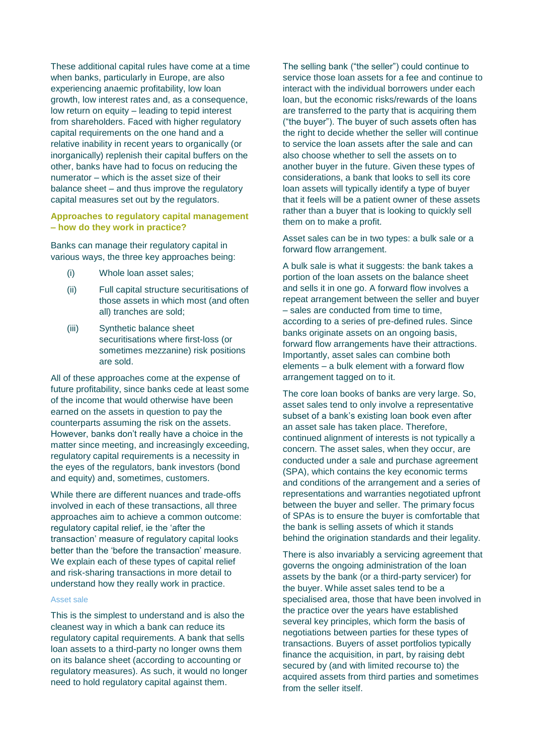These additional capital rules have come at a time when banks, particularly in Europe, are also experiencing anaemic profitability, low loan growth, low interest rates and, as a consequence, low return on equity – leading to tepid interest from shareholders. Faced with higher regulatory capital requirements on the one hand and a relative inability in recent years to organically (or inorganically) replenish their capital buffers on the other, banks have had to focus on reducing the numerator – which is the asset size of their balance sheet – and thus improve the regulatory capital measures set out by the regulators.

### **Approaches to regulatory capital management – how do they work in practice?**

Banks can manage their regulatory capital in various ways, the three key approaches being:

- (i) Whole loan asset sales;
- (ii) Full capital structure securitisations of those assets in which most (and often all) tranches are sold;
- (iii) Synthetic balance sheet securitisations where first-loss (or sometimes mezzanine) risk positions are sold.

All of these approaches come at the expense of future profitability, since banks cede at least some of the income that would otherwise have been earned on the assets in question to pay the counterparts assuming the risk on the assets. However, banks don't really have a choice in the matter since meeting, and increasingly exceeding, regulatory capital requirements is a necessity in the eyes of the regulators, bank investors (bond and equity) and, sometimes, customers.

While there are different nuances and trade-offs involved in each of these transactions, all three approaches aim to achieve a common outcome: regulatory capital relief, ie the 'after the transaction' measure of regulatory capital looks better than the 'before the transaction' measure. We explain each of these types of capital relief and risk-sharing transactions in more detail to understand how they really work in practice.

#### Asset sale

This is the simplest to understand and is also the cleanest way in which a bank can reduce its regulatory capital requirements. A bank that sells loan assets to a third-party no longer owns them on its balance sheet (according to accounting or regulatory measures). As such, it would no longer need to hold regulatory capital against them.

The selling bank ("the seller") could continue to service those loan assets for a fee and continue to interact with the individual borrowers under each loan, but the economic risks/rewards of the loans are transferred to the party that is acquiring them ("the buyer"). The buyer of such assets often has the right to decide whether the seller will continue to service the loan assets after the sale and can also choose whether to sell the assets on to another buyer in the future. Given these types of considerations, a bank that looks to sell its core loan assets will typically identify a type of buyer that it feels will be a patient owner of these assets rather than a buyer that is looking to quickly sell them on to make a profit.

Asset sales can be in two types: a bulk sale or a forward flow arrangement.

A bulk sale is what it suggests: the bank takes a portion of the loan assets on the balance sheet and sells it in one go. A forward flow involves a repeat arrangement between the seller and buyer – sales are conducted from time to time, according to a series of pre-defined rules. Since banks originate assets on an ongoing basis, forward flow arrangements have their attractions. Importantly, asset sales can combine both elements – a bulk element with a forward flow arrangement tagged on to it.

The core loan books of banks are very large. So, asset sales tend to only involve a representative subset of a bank's existing loan book even after an asset sale has taken place. Therefore, continued alignment of interests is not typically a concern. The asset sales, when they occur, are conducted under a sale and purchase agreement (SPA), which contains the key economic terms and conditions of the arrangement and a series of representations and warranties negotiated upfront between the buyer and seller. The primary focus of SPAs is to ensure the buyer is comfortable that the bank is selling assets of which it stands behind the origination standards and their legality.

There is also invariably a servicing agreement that governs the ongoing administration of the loan assets by the bank (or a third-party servicer) for the buyer. While asset sales tend to be a specialised area, those that have been involved in the practice over the years have established several key principles, which form the basis of negotiations between parties for these types of transactions. Buyers of asset portfolios typically finance the acquisition, in part, by raising debt secured by (and with limited recourse to) the acquired assets from third parties and sometimes from the seller itself.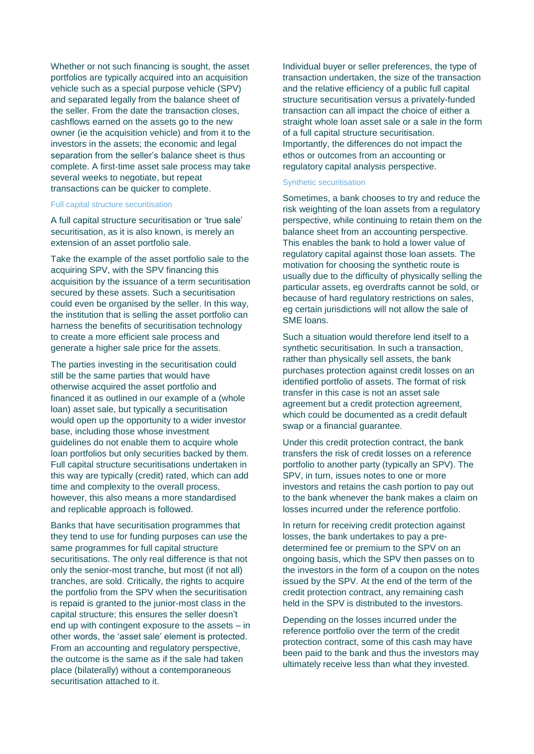Whether or not such financing is sought, the asset portfolios are typically acquired into an acquisition vehicle such as a special purpose vehicle (SPV) and separated legally from the balance sheet of the seller. From the date the transaction closes, cashflows earned on the assets go to the new owner (ie the acquisition vehicle) and from it to the investors in the assets; the economic and legal separation from the seller's balance sheet is thus complete. A first-time asset sale process may take several weeks to negotiate, but repeat transactions can be quicker to complete.

#### Full capital structure securitisation

A full capital structure securitisation or 'true sale' securitisation, as it is also known, is merely an extension of an asset portfolio sale.

Take the example of the asset portfolio sale to the acquiring SPV, with the SPV financing this acquisition by the issuance of a term securitisation secured by these assets. Such a securitisation could even be organised by the seller. In this way, the institution that is selling the asset portfolio can harness the benefits of securitisation technology to create a more efficient sale process and generate a higher sale price for the assets.

The parties investing in the securitisation could still be the same parties that would have otherwise acquired the asset portfolio and financed it as outlined in our example of a (whole loan) asset sale, but typically a securitisation would open up the opportunity to a wider investor base, including those whose investment guidelines do not enable them to acquire whole loan portfolios but only securities backed by them. Full capital structure securitisations undertaken in this way are typically (credit) rated, which can add time and complexity to the overall process, however, this also means a more standardised and replicable approach is followed.

Banks that have securitisation programmes that they tend to use for funding purposes can use the same programmes for full capital structure securitisations. The only real difference is that not only the senior-most tranche, but most (if not all) tranches, are sold. Critically, the rights to acquire the portfolio from the SPV when the securitisation is repaid is granted to the junior-most class in the capital structure; this ensures the seller doesn't end up with contingent exposure to the assets – in other words, the 'asset sale' element is protected. From an accounting and regulatory perspective, the outcome is the same as if the sale had taken place (bilaterally) without a contemporaneous securitisation attached to it.

Individual buyer or seller preferences, the type of transaction undertaken, the size of the transaction and the relative efficiency of a public full capital structure securitisation versus a privately-funded transaction can all impact the choice of either a straight whole loan asset sale or a sale in the form of a full capital structure securitisation. Importantly, the differences do not impact the ethos or outcomes from an accounting or regulatory capital analysis perspective.

### Synthetic securitisation

Sometimes, a bank chooses to try and reduce the risk weighting of the loan assets from a regulatory perspective, while continuing to retain them on the balance sheet from an accounting perspective. This enables the bank to hold a lower value of regulatory capital against those loan assets. The motivation for choosing the synthetic route is usually due to the difficulty of physically selling the particular assets, eg overdrafts cannot be sold, or because of hard regulatory restrictions on sales, eg certain jurisdictions will not allow the sale of SME loans.

Such a situation would therefore lend itself to a synthetic securitisation. In such a transaction, rather than physically sell assets, the bank purchases protection against credit losses on an identified portfolio of assets. The format of risk transfer in this case is not an asset sale agreement but a credit protection agreement, which could be documented as a credit default swap or a financial guarantee.

Under this credit protection contract, the bank transfers the risk of credit losses on a reference portfolio to another party (typically an SPV). The SPV, in turn, issues notes to one or more investors and retains the cash portion to pay out to the bank whenever the bank makes a claim on losses incurred under the reference portfolio.

In return for receiving credit protection against losses, the bank undertakes to pay a predetermined fee or premium to the SPV on an ongoing basis, which the SPV then passes on to the investors in the form of a coupon on the notes issued by the SPV. At the end of the term of the credit protection contract, any remaining cash held in the SPV is distributed to the investors.

Depending on the losses incurred under the reference portfolio over the term of the credit protection contract, some of this cash may have been paid to the bank and thus the investors may ultimately receive less than what they invested.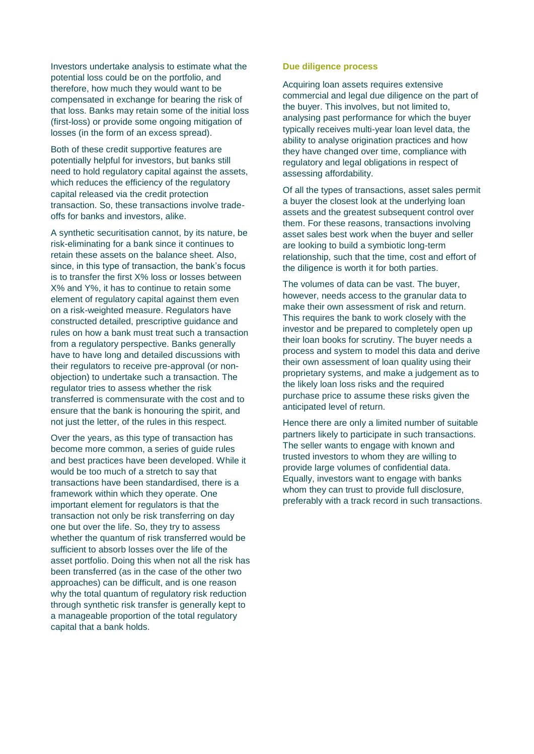Investors undertake analysis to estimate what the potential loss could be on the portfolio, and therefore, how much they would want to be compensated in exchange for bearing the risk of that loss. Banks may retain some of the initial loss (first-loss) or provide some ongoing mitigation of losses (in the form of an excess spread).

Both of these credit supportive features are potentially helpful for investors, but banks still need to hold regulatory capital against the assets, which reduces the efficiency of the regulatory capital released via the credit protection transaction. So, these transactions involve tradeoffs for banks and investors, alike.

A synthetic securitisation cannot, by its nature, be risk-eliminating for a bank since it continues to retain these assets on the balance sheet. Also, since, in this type of transaction, the bank's focus is to transfer the first X% loss or losses between X% and Y%, it has to continue to retain some element of regulatory capital against them even on a risk-weighted measure. Regulators have constructed detailed, prescriptive guidance and rules on how a bank must treat such a transaction from a regulatory perspective. Banks generally have to have long and detailed discussions with their regulators to receive pre-approval (or nonobjection) to undertake such a transaction. The regulator tries to assess whether the risk transferred is commensurate with the cost and to ensure that the bank is honouring the spirit, and not just the letter, of the rules in this respect.

Over the years, as this type of transaction has become more common, a series of guide rules and best practices have been developed. While it would be too much of a stretch to say that transactions have been standardised, there is a framework within which they operate. One important element for regulators is that the transaction not only be risk transferring on day one but over the life. So, they try to assess whether the quantum of risk transferred would be sufficient to absorb losses over the life of the asset portfolio. Doing this when not all the risk has been transferred (as in the case of the other two approaches) can be difficult, and is one reason why the total quantum of regulatory risk reduction through synthetic risk transfer is generally kept to a manageable proportion of the total regulatory capital that a bank holds.

## **Due diligence process**

Acquiring loan assets requires extensive commercial and legal due diligence on the part of the buyer. This involves, but not limited to, analysing past performance for which the buyer typically receives multi-year loan level data, the ability to analyse origination practices and how they have changed over time, compliance with regulatory and legal obligations in respect of assessing affordability.

Of all the types of transactions, asset sales permit a buyer the closest look at the underlying loan assets and the greatest subsequent control over them. For these reasons, transactions involving asset sales best work when the buyer and seller are looking to build a symbiotic long-term relationship, such that the time, cost and effort of the diligence is worth it for both parties.

The volumes of data can be vast. The buyer, however, needs access to the granular data to make their own assessment of risk and return. This requires the bank to work closely with the investor and be prepared to completely open up their loan books for scrutiny. The buyer needs a process and system to model this data and derive their own assessment of loan quality using their proprietary systems, and make a judgement as to the likely loan loss risks and the required purchase price to assume these risks given the anticipated level of return.

Hence there are only a limited number of suitable partners likely to participate in such transactions. The seller wants to engage with known and trusted investors to whom they are willing to provide large volumes of confidential data. Equally, investors want to engage with banks whom they can trust to provide full disclosure, preferably with a track record in such transactions.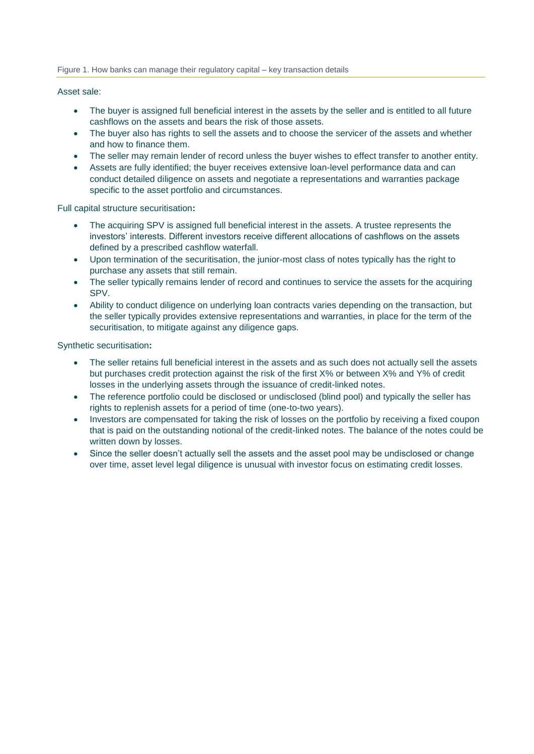#### Figure 1. How banks can manage their regulatory capital – key transaction details

#### Asset sale:

- The buyer is assigned full beneficial interest in the assets by the seller and is entitled to all future cashflows on the assets and bears the risk of those assets.
- The buyer also has rights to sell the assets and to choose the servicer of the assets and whether and how to finance them.
- The seller may remain lender of record unless the buyer wishes to effect transfer to another entity.
- Assets are fully identified; the buyer receives extensive loan-level performance data and can conduct detailed diligence on assets and negotiate a representations and warranties package specific to the asset portfolio and circumstances.

Full capital structure securitisation**:**

- The acquiring SPV is assigned full beneficial interest in the assets. A trustee represents the investors' interests. Different investors receive different allocations of cashflows on the assets defined by a prescribed cashflow waterfall.
- Upon termination of the securitisation, the junior-most class of notes typically has the right to purchase any assets that still remain.
- The seller typically remains lender of record and continues to service the assets for the acquiring SPV.
- Ability to conduct diligence on underlying loan contracts varies depending on the transaction, but the seller typically provides extensive representations and warranties, in place for the term of the securitisation, to mitigate against any diligence gaps.

Synthetic securitisation**:**

- The seller retains full beneficial interest in the assets and as such does not actually sell the assets but purchases credit protection against the risk of the first X% or between X% and Y% of credit losses in the underlying assets through the issuance of credit-linked notes.
- The reference portfolio could be disclosed or undisclosed (blind pool) and typically the seller has rights to replenish assets for a period of time (one-to-two years).
- Investors are compensated for taking the risk of losses on the portfolio by receiving a fixed coupon that is paid on the outstanding notional of the credit-linked notes. The balance of the notes could be written down by losses.
- Since the seller doesn't actually sell the assets and the asset pool may be undisclosed or change over time, asset level legal diligence is unusual with investor focus on estimating credit losses.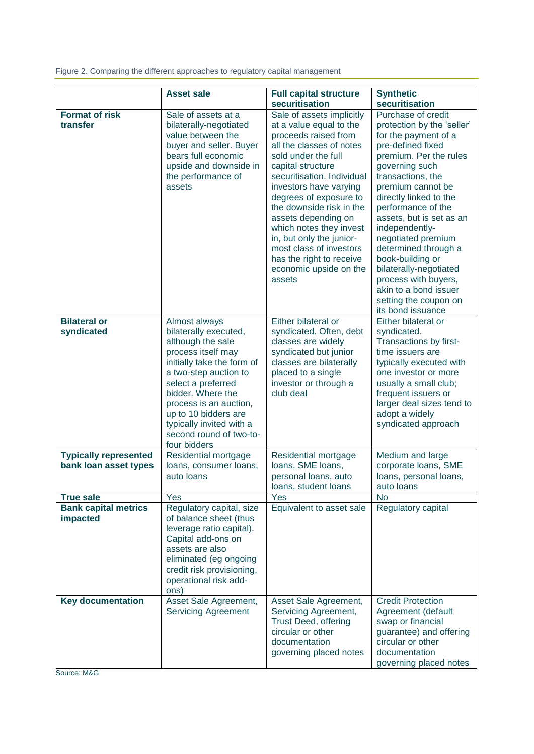Figure 2. Comparing the different approaches to regulatory capital management

|                                                       | <b>Asset sale</b>                                                                                                                                                                                                                                                                                            | <b>Full capital structure</b><br>securitisation                                                                                                                                                                                                                                                                                                                                                                                             | <b>Synthetic</b><br>securitisation                                                                                                                                                                                                                                                                                                                                                                                                                                           |
|-------------------------------------------------------|--------------------------------------------------------------------------------------------------------------------------------------------------------------------------------------------------------------------------------------------------------------------------------------------------------------|---------------------------------------------------------------------------------------------------------------------------------------------------------------------------------------------------------------------------------------------------------------------------------------------------------------------------------------------------------------------------------------------------------------------------------------------|------------------------------------------------------------------------------------------------------------------------------------------------------------------------------------------------------------------------------------------------------------------------------------------------------------------------------------------------------------------------------------------------------------------------------------------------------------------------------|
| <b>Format of risk</b><br>transfer                     | Sale of assets at a<br>bilaterally-negotiated<br>value between the<br>buyer and seller. Buyer<br>bears full economic<br>upside and downside in<br>the performance of<br>assets                                                                                                                               | Sale of assets implicitly<br>at a value equal to the<br>proceeds raised from<br>all the classes of notes<br>sold under the full<br>capital structure<br>securitisation. Individual<br>investors have varying<br>degrees of exposure to<br>the downside risk in the<br>assets depending on<br>which notes they invest<br>in, but only the junior-<br>most class of investors<br>has the right to receive<br>economic upside on the<br>assets | Purchase of credit<br>protection by the 'seller'<br>for the payment of a<br>pre-defined fixed<br>premium. Per the rules<br>governing such<br>transactions, the<br>premium cannot be<br>directly linked to the<br>performance of the<br>assets, but is set as an<br>independently-<br>negotiated premium<br>determined through a<br>book-building or<br>bilaterally-negotiated<br>process with buyers,<br>akin to a bond issuer<br>setting the coupon on<br>its bond issuance |
| <b>Bilateral or</b><br>syndicated                     | Almost always<br>bilaterally executed,<br>although the sale<br>process itself may<br>initially take the form of<br>a two-step auction to<br>select a preferred<br>bidder. Where the<br>process is an auction,<br>up to 10 bidders are<br>typically invited with a<br>second round of two-to-<br>four bidders | Either bilateral or<br>syndicated. Often, debt<br>classes are widely<br>syndicated but junior<br>classes are bilaterally<br>placed to a single<br>investor or through a<br>club deal                                                                                                                                                                                                                                                        | Either bilateral or<br>syndicated.<br>Transactions by first-<br>time issuers are<br>typically executed with<br>one investor or more<br>usually a small club;<br>frequent issuers or<br>larger deal sizes tend to<br>adopt a widely<br>syndicated approach                                                                                                                                                                                                                    |
| <b>Typically represented</b><br>bank loan asset types | Residential mortgage<br>loans, consumer loans,<br>auto loans                                                                                                                                                                                                                                                 | Residential mortgage<br>loans, SME loans,<br>personal loans, auto<br>loans, student loans                                                                                                                                                                                                                                                                                                                                                   | Medium and large<br>corporate loans, SME<br>loans, personal loans,<br>auto Ioans                                                                                                                                                                                                                                                                                                                                                                                             |
| <b>True sale</b>                                      | Yes                                                                                                                                                                                                                                                                                                          | Yes                                                                                                                                                                                                                                                                                                                                                                                                                                         | <b>No</b>                                                                                                                                                                                                                                                                                                                                                                                                                                                                    |
| <b>Bank capital metrics</b><br>impacted               | Regulatory capital, size<br>of balance sheet (thus<br>leverage ratio capital).<br>Capital add-ons on<br>assets are also<br>eliminated (eg ongoing<br>credit risk provisioning,<br>operational risk add-<br>ons)                                                                                              | Equivalent to asset sale                                                                                                                                                                                                                                                                                                                                                                                                                    | Regulatory capital                                                                                                                                                                                                                                                                                                                                                                                                                                                           |
| <b>Key documentation</b>                              | Asset Sale Agreement,<br><b>Servicing Agreement</b>                                                                                                                                                                                                                                                          | Asset Sale Agreement,<br>Servicing Agreement,<br><b>Trust Deed, offering</b><br>circular or other<br>documentation<br>governing placed notes                                                                                                                                                                                                                                                                                                | <b>Credit Protection</b><br>Agreement (default<br>swap or financial<br>guarantee) and offering<br>circular or other<br>documentation<br>governing placed notes                                                                                                                                                                                                                                                                                                               |

Source: M&G